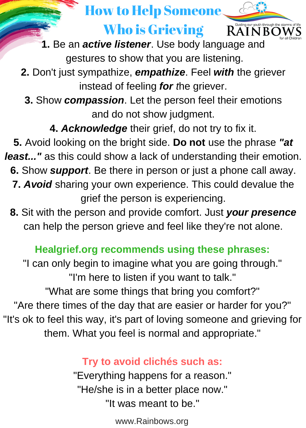### How to Help Someone

### Who is Grieving



**Who is Grievin**<br>**1.** Be an *active listener*. Use book<br>gestures to show that you are **1.** Be an *active listener*. Use body language and gestures to show that you are listening.

**I here.** Feel **with** the griever instead of feeling *for the griever*.<br> **3.** Show *compassion*. Let the person feel their emotions **2.** Don't just sympathize, *empathize*. Feel *with* the griever instead of feeling *for t*he griever.

and do not show judgment.

**4.** *Acknowledge* their grief, do not try to fix it.

*J e r e m i a h 2 9 : 1 1 least..."* as this could show a lack of understanding their emotion. 6. Show *support*. Be there in person or just a phone call away. t o p r o s p r o s p r o u h i h u t o u t o g i v e a r m y o u d a n s t o p e a n d a n d a n d a n d a n 7. Avoid sharing your own experience. This could devalue the **5.** Avoid looking on the bright side. **Do not** use the phrase *"at* grief the person is experiencing.

**8.** Sit with the person and provide comfort. Just *your presence* can help the person grieve and feel like they're not alone.

## **Healgrief.org recommends using these phrases:**<br>"I can only begin to imagine what you are going through

**Pastor John Rice** *S a t u r d a y* "I'm here to listen if you want to talk." *7 PM What are some things that bring you comfort?"*<br>And that are against are barder for that are all that are against a harder for the day. "It's ok to feel this way, it's part of loving someone and grieving for "I can only begin to imagine what you are going through." "Are there times of the day that are easier or harder for you?" them. What you feel is normal and appropriate."

#### **Try** to avoid clichés such as:

*O n e Fa it h* "It was meant to be." "Everything happens for a reason." "He/she is in a better place now."

www.Rainbows.org